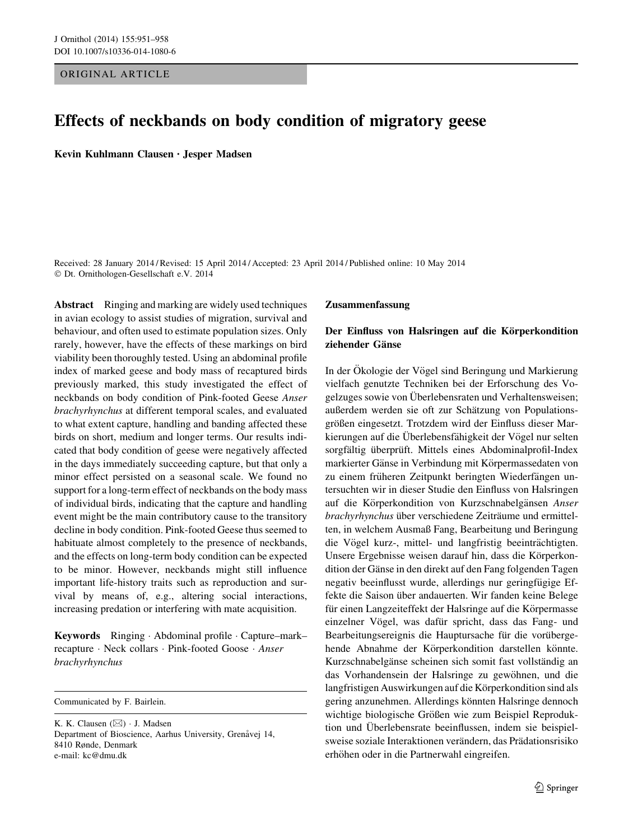## ORIGINAL ARTICLE

# Effects of neckbands on body condition of migratory geese

Kevin Kuhlmann Clausen • Jesper Madsen

Received: 28 January 2014 / Revised: 15 April 2014 / Accepted: 23 April 2014 / Published online: 10 May 2014 © Dt. Ornithologen-Gesellschaft e.V. 2014

Abstract Ringing and marking are widely used techniques in avian ecology to assist studies of migration, survival and behaviour, and often used to estimate population sizes. Only rarely, however, have the effects of these markings on bird viability been thoroughly tested. Using an abdominal profile index of marked geese and body mass of recaptured birds previously marked, this study investigated the effect of neckbands on body condition of Pink-footed Geese Anser brachyrhynchus at different temporal scales, and evaluated to what extent capture, handling and banding affected these birds on short, medium and longer terms. Our results indicated that body condition of geese were negatively affected in the days immediately succeeding capture, but that only a minor effect persisted on a seasonal scale. We found no support for a long-term effect of neckbands on the body mass of individual birds, indicating that the capture and handling event might be the main contributory cause to the transitory decline in body condition. Pink-footed Geese thus seemed to habituate almost completely to the presence of neckbands, and the effects on long-term body condition can be expected to be minor. However, neckbands might still influence important life-history traits such as reproduction and survival by means of, e.g., altering social interactions, increasing predation or interfering with mate acquisition.

Keywords Ringing - Abdominal profile - Capture–mark– recapture · Neck collars · Pink-footed Goose · Anser brachyrhynchus

Communicated by F. Bairlein.

K. K. Clausen  $(\boxtimes) \cdot$  J. Madsen Department of Bioscience, Aarhus University, Grenåvej 14, 8410 Rønde, Denmark e-mail: kc@dmu.dk

#### Zusammenfassung

# Der Einfluss von Halsringen auf die Körperkondition ziehender Gänse

In der Ökologie der Vögel sind Beringung und Markierung vielfach genutzte Techniken bei der Erforschung des Vogelzuges sowie von Überlebensraten und Verhaltensweisen; außerdem werden sie oft zur Schätzung von Populationsgrößen eingesetzt. Trotzdem wird der Einfluss dieser Markierungen auf die Überlebensfähigkeit der Vögel nur selten sorgfältig überprüft. Mittels eines Abdominalprofil-Index markierter Gänse in Verbindung mit Körpermassedaten von zu einem früheren Zeitpunkt beringten Wiederfängen untersuchten wir in dieser Studie den Einfluss von Halsringen auf die Körperkondition von Kurzschnabelgänsen Anser brachyrhynchus über verschiedene Zeiträume und ermittelten, in welchem Ausmaß Fang, Bearbeitung und Beringung die Vögel kurz-, mittel- und langfristig beeinträchtigten. Unsere Ergebnisse weisen darauf hin, dass die Körperkondition der Gänse in den direkt auf den Fang folgenden Tagen negativ beeinflusst wurde, allerdings nur geringfügige Effekte die Saison über andauerten. Wir fanden keine Belege für einen Langzeiteffekt der Halsringe auf die Körpermasse einzelner Vögel, was dafür spricht, dass das Fang- und Bearbeitungsereignis die Hauptursache für die vorübergehende Abnahme der Körperkondition darstellen könnte. Kurzschnabelgänse scheinen sich somit fast vollständig an das Vorhandensein der Halsringe zu gewöhnen, und die langfristigen Auswirkungen auf die Körperkondition sind als gering anzunehmen. Allerdings könnten Halsringe dennoch wichtige biologische Größen wie zum Beispiel Reproduktion und Überlebensrate beeinflussen, indem sie beispielsweise soziale Interaktionen verändern, das Prädationsrisiko erhöhen oder in die Partnerwahl eingreifen.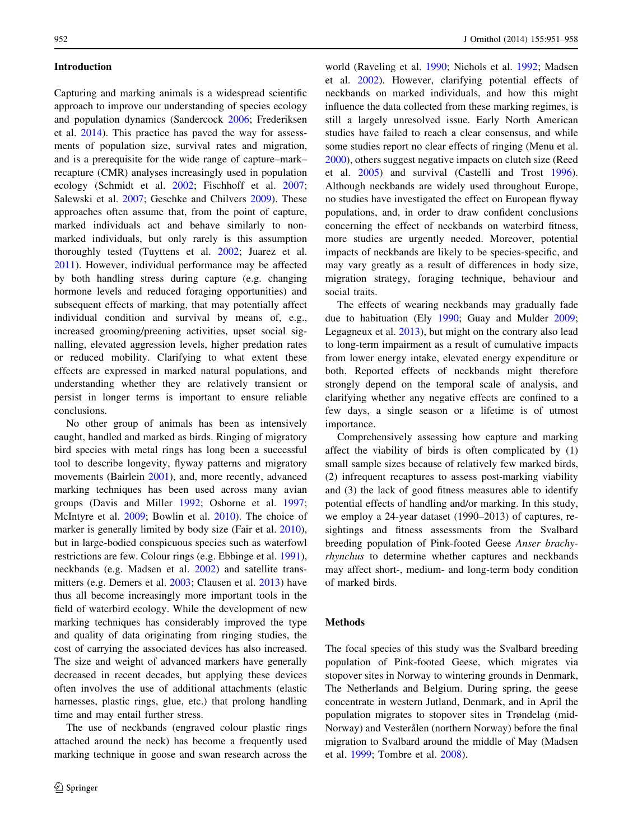## Introduction

Capturing and marking animals is a widespread scientific approach to improve our understanding of species ecology and population dynamics (Sandercock [2006;](#page-7-0) Frederiksen et al. [2014](#page-7-0)). This practice has paved the way for assessments of population size, survival rates and migration, and is a prerequisite for the wide range of capture–mark– recapture (CMR) analyses increasingly used in population ecology (Schmidt et al. [2002](#page-7-0); Fischhoff et al. [2007](#page-7-0); Salewski et al. [2007](#page-7-0); Geschke and Chilvers [2009\)](#page-7-0). These approaches often assume that, from the point of capture, marked individuals act and behave similarly to nonmarked individuals, but only rarely is this assumption thoroughly tested (Tuyttens et al. [2002;](#page-7-0) Juarez et al. [2011\)](#page-7-0). However, individual performance may be affected by both handling stress during capture (e.g. changing hormone levels and reduced foraging opportunities) and subsequent effects of marking, that may potentially affect individual condition and survival by means of, e.g., increased grooming/preening activities, upset social signalling, elevated aggression levels, higher predation rates or reduced mobility. Clarifying to what extent these effects are expressed in marked natural populations, and understanding whether they are relatively transient or persist in longer terms is important to ensure reliable conclusions.

No other group of animals has been as intensively caught, handled and marked as birds. Ringing of migratory bird species with metal rings has long been a successful tool to describe longevity, flyway patterns and migratory movements (Bairlein [2001\)](#page-6-0), and, more recently, advanced marking techniques has been used across many avian groups (Davis and Miller [1992;](#page-7-0) Osborne et al. [1997](#page-7-0); McIntyre et al. [2009;](#page-7-0) Bowlin et al. [2010\)](#page-6-0). The choice of marker is generally limited by body size (Fair et al. [2010](#page-7-0)), but in large-bodied conspicuous species such as waterfowl restrictions are few. Colour rings (e.g. Ebbinge et al. [1991](#page-7-0)), neckbands (e.g. Madsen et al. [2002](#page-7-0)) and satellite transmitters (e.g. Demers et al. [2003;](#page-7-0) Clausen et al. [2013\)](#page-7-0) have thus all become increasingly more important tools in the field of waterbird ecology. While the development of new marking techniques has considerably improved the type and quality of data originating from ringing studies, the cost of carrying the associated devices has also increased. The size and weight of advanced markers have generally decreased in recent decades, but applying these devices often involves the use of additional attachments (elastic harnesses, plastic rings, glue, etc.) that prolong handling time and may entail further stress.

The use of neckbands (engraved colour plastic rings attached around the neck) has become a frequently used marking technique in goose and swan research across the

world (Raveling et al. [1990;](#page-7-0) Nichols et al. [1992](#page-7-0); Madsen et al. [2002\)](#page-7-0). However, clarifying potential effects of neckbands on marked individuals, and how this might influence the data collected from these marking regimes, is still a largely unresolved issue. Early North American studies have failed to reach a clear consensus, and while some studies report no clear effects of ringing (Menu et al. [2000](#page-7-0)), others suggest negative impacts on clutch size (Reed et al. [2005](#page-7-0)) and survival (Castelli and Trost [1996](#page-7-0)). Although neckbands are widely used throughout Europe, no studies have investigated the effect on European flyway populations, and, in order to draw confident conclusions concerning the effect of neckbands on waterbird fitness, more studies are urgently needed. Moreover, potential impacts of neckbands are likely to be species-specific, and may vary greatly as a result of differences in body size, migration strategy, foraging technique, behaviour and social traits.

The effects of wearing neckbands may gradually fade due to habituation (Ely [1990;](#page-7-0) Guay and Mulder [2009](#page-7-0); Legagneux et al. [2013](#page-7-0)), but might on the contrary also lead to long-term impairment as a result of cumulative impacts from lower energy intake, elevated energy expenditure or both. Reported effects of neckbands might therefore strongly depend on the temporal scale of analysis, and clarifying whether any negative effects are confined to a few days, a single season or a lifetime is of utmost importance.

Comprehensively assessing how capture and marking affect the viability of birds is often complicated by (1) small sample sizes because of relatively few marked birds, (2) infrequent recaptures to assess post-marking viability and (3) the lack of good fitness measures able to identify potential effects of handling and/or marking. In this study, we employ a 24-year dataset (1990–2013) of captures, resightings and fitness assessments from the Svalbard breeding population of Pink-footed Geese Anser brachyrhynchus to determine whether captures and neckbands may affect short-, medium- and long-term body condition of marked birds.

## **Methods**

The focal species of this study was the Svalbard breeding population of Pink-footed Geese, which migrates via stopover sites in Norway to wintering grounds in Denmark, The Netherlands and Belgium. During spring, the geese concentrate in western Jutland, Denmark, and in April the population migrates to stopover sites in Trøndelag (mid-Norway) and Vesterålen (northern Norway) before the final migration to Svalbard around the middle of May (Madsen et al. [1999;](#page-7-0) Tombre et al. [2008\)](#page-7-0).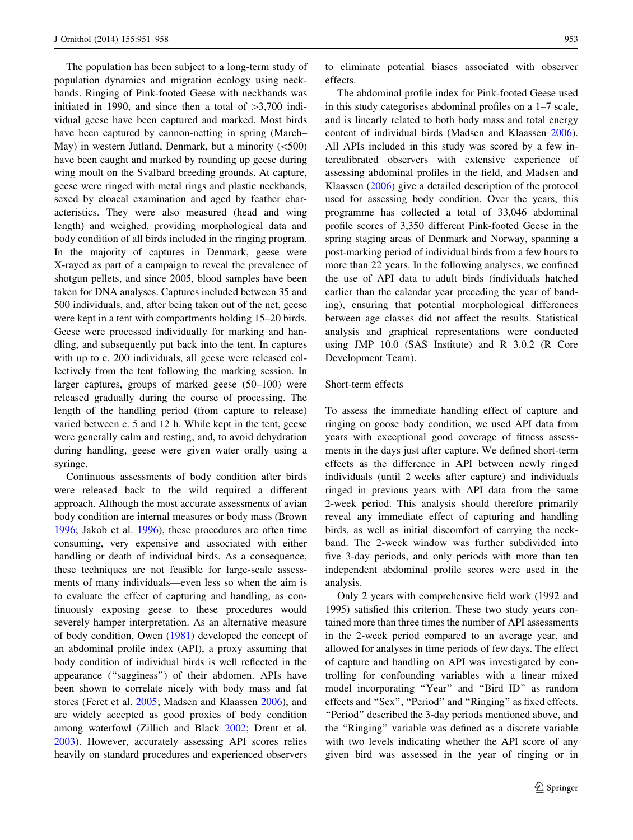The population has been subject to a long-term study of population dynamics and migration ecology using neckbands. Ringing of Pink-footed Geese with neckbands was initiated in 1990, and since then a total of  $>3,700$  individual geese have been captured and marked. Most birds have been captured by cannon-netting in spring (March– May) in western Jutland, Denmark, but a minority  $(<500$ ) have been caught and marked by rounding up geese during wing moult on the Svalbard breeding grounds. At capture, geese were ringed with metal rings and plastic neckbands, sexed by cloacal examination and aged by feather characteristics. They were also measured (head and wing length) and weighed, providing morphological data and body condition of all birds included in the ringing program. In the majority of captures in Denmark, geese were X-rayed as part of a campaign to reveal the prevalence of shotgun pellets, and since 2005, blood samples have been taken for DNA analyses. Captures included between 35 and 500 individuals, and, after being taken out of the net, geese were kept in a tent with compartments holding 15–20 birds. Geese were processed individually for marking and handling, and subsequently put back into the tent. In captures with up to c. 200 individuals, all geese were released collectively from the tent following the marking session. In larger captures, groups of marked geese (50–100) were released gradually during the course of processing. The length of the handling period (from capture to release) varied between c. 5 and 12 h. While kept in the tent, geese were generally calm and resting, and, to avoid dehydration during handling, geese were given water orally using a syringe.

Continuous assessments of body condition after birds were released back to the wild required a different approach. Although the most accurate assessments of avian body condition are internal measures or body mass (Brown [1996;](#page-7-0) Jakob et al. [1996](#page-7-0)), these procedures are often time consuming, very expensive and associated with either handling or death of individual birds. As a consequence, these techniques are not feasible for large-scale assessments of many individuals—even less so when the aim is to evaluate the effect of capturing and handling, as continuously exposing geese to these procedures would severely hamper interpretation. As an alternative measure of body condition, Owen ([1981\)](#page-7-0) developed the concept of an abdominal profile index (API), a proxy assuming that body condition of individual birds is well reflected in the appearance (''sagginess'') of their abdomen. APIs have been shown to correlate nicely with body mass and fat stores (Feret et al. [2005](#page-7-0); Madsen and Klaassen [2006\)](#page-7-0), and are widely accepted as good proxies of body condition among waterfowl (Zillich and Black [2002;](#page-7-0) Drent et al. [2003\)](#page-7-0). However, accurately assessing API scores relies heavily on standard procedures and experienced observers to eliminate potential biases associated with observer effects.

The abdominal profile index for Pink-footed Geese used in this study categorises abdominal profiles on a 1–7 scale, and is linearly related to both body mass and total energy content of individual birds (Madsen and Klaassen [2006](#page-7-0)). All APIs included in this study was scored by a few intercalibrated observers with extensive experience of assessing abdominal profiles in the field, and Madsen and Klaassen [\(2006](#page-7-0)) give a detailed description of the protocol used for assessing body condition. Over the years, this programme has collected a total of 33,046 abdominal profile scores of 3,350 different Pink-footed Geese in the spring staging areas of Denmark and Norway, spanning a post-marking period of individual birds from a few hours to more than 22 years. In the following analyses, we confined the use of API data to adult birds (individuals hatched earlier than the calendar year preceding the year of banding), ensuring that potential morphological differences between age classes did not affect the results. Statistical analysis and graphical representations were conducted using JMP 10.0 (SAS Institute) and R 3.0.2 (R Core Development Team).

## Short-term effects

To assess the immediate handling effect of capture and ringing on goose body condition, we used API data from years with exceptional good coverage of fitness assessments in the days just after capture. We defined short-term effects as the difference in API between newly ringed individuals (until 2 weeks after capture) and individuals ringed in previous years with API data from the same 2-week period. This analysis should therefore primarily reveal any immediate effect of capturing and handling birds, as well as initial discomfort of carrying the neckband. The 2-week window was further subdivided into five 3-day periods, and only periods with more than ten independent abdominal profile scores were used in the analysis.

Only 2 years with comprehensive field work (1992 and 1995) satisfied this criterion. These two study years contained more than three times the number of API assessments in the 2-week period compared to an average year, and allowed for analyses in time periods of few days. The effect of capture and handling on API was investigated by controlling for confounding variables with a linear mixed model incorporating ''Year'' and ''Bird ID'' as random effects and ''Sex'', ''Period'' and ''Ringing'' as fixed effects. ''Period'' described the 3-day periods mentioned above, and the ''Ringing'' variable was defined as a discrete variable with two levels indicating whether the API score of any given bird was assessed in the year of ringing or in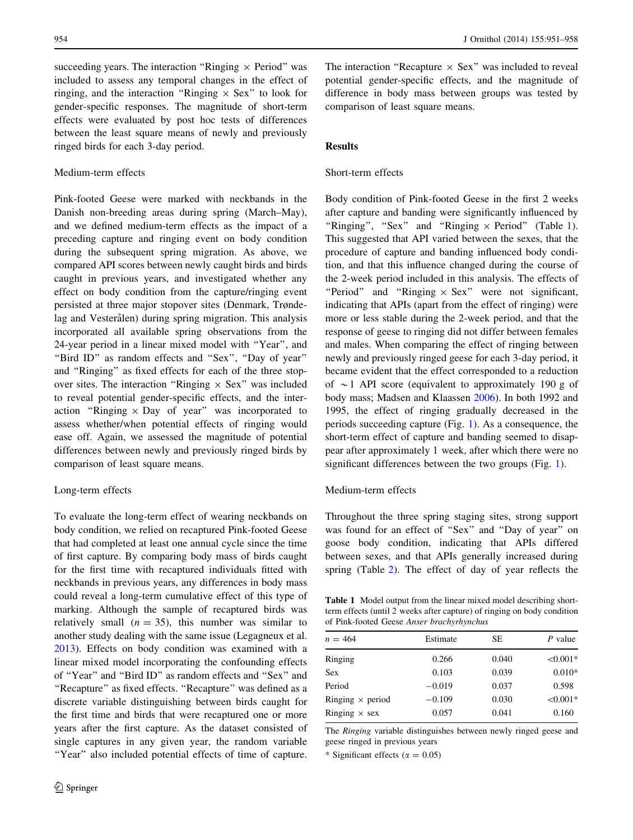succeeding years. The interaction "Ringing  $\times$  Period" was included to assess any temporal changes in the effect of ringing, and the interaction "Ringing  $\times$  Sex" to look for gender-specific responses. The magnitude of short-term effects were evaluated by post hoc tests of differences between the least square means of newly and previously ringed birds for each 3-day period.

## Medium-term effects

Pink-footed Geese were marked with neckbands in the Danish non-breeding areas during spring (March–May), and we defined medium-term effects as the impact of a preceding capture and ringing event on body condition during the subsequent spring migration. As above, we compared API scores between newly caught birds and birds caught in previous years, and investigated whether any effect on body condition from the capture/ringing event persisted at three major stopover sites (Denmark, Trøndelag and Vesterålen) during spring migration. This analysis incorporated all available spring observations from the 24-year period in a linear mixed model with ''Year'', and ''Bird ID'' as random effects and ''Sex'', ''Day of year'' and ''Ringing'' as fixed effects for each of the three stopover sites. The interaction "Ringing  $\times$  Sex" was included to reveal potential gender-specific effects, and the interaction "Ringing  $\times$  Day of year" was incorporated to assess whether/when potential effects of ringing would ease off. Again, we assessed the magnitude of potential differences between newly and previously ringed birds by comparison of least square means.

#### Long-term effects

To evaluate the long-term effect of wearing neckbands on body condition, we relied on recaptured Pink-footed Geese that had completed at least one annual cycle since the time of first capture. By comparing body mass of birds caught for the first time with recaptured individuals fitted with neckbands in previous years, any differences in body mass could reveal a long-term cumulative effect of this type of marking. Although the sample of recaptured birds was relatively small  $(n = 35)$ , this number was similar to another study dealing with the same issue (Legagneux et al. [2013\)](#page-7-0). Effects on body condition was examined with a linear mixed model incorporating the confounding effects of ''Year'' and ''Bird ID'' as random effects and ''Sex'' and "Recapture" as fixed effects. "Recapture" was defined as a discrete variable distinguishing between birds caught for the first time and birds that were recaptured one or more years after the first capture. As the dataset consisted of single captures in any given year, the random variable "Year" also included potential effects of time of capture.

The interaction "Recapture  $\times$  Sex" was included to reveal potential gender-specific effects, and the magnitude of difference in body mass between groups was tested by comparison of least square means.

## **Results**

## Short-term effects

Body condition of Pink-footed Geese in the first 2 weeks after capture and banding were significantly influenced by "Ringing", "Sex" and "Ringing  $\times$  Period" (Table 1). This suggested that API varied between the sexes, that the procedure of capture and banding influenced body condition, and that this influence changed during the course of the 2-week period included in this analysis. The effects of "Period" and "Ringing  $\times$  Sex" were not significant, indicating that APIs (apart from the effect of ringing) were more or less stable during the 2-week period, and that the response of geese to ringing did not differ between females and males. When comparing the effect of ringing between newly and previously ringed geese for each 3-day period, it became evident that the effect corresponded to a reduction of  $\sim$ 1 API score (equivalent to approximately 190 g of body mass; Madsen and Klaassen [2006\)](#page-7-0). In both 1992 and 1995, the effect of ringing gradually decreased in the periods succeeding capture (Fig. [1\)](#page-4-0). As a consequence, the short-term effect of capture and banding seemed to disappear after approximately 1 week, after which there were no significant differences between the two groups (Fig. [1](#page-4-0)).

## Medium-term effects

Throughout the three spring staging sites, strong support was found for an effect of "Sex" and "Day of year" on goose body condition, indicating that APIs differed between sexes, and that APIs generally increased during spring (Table [2\)](#page-4-0). The effect of day of year reflects the

Table 1 Model output from the linear mixed model describing shortterm effects (until 2 weeks after capture) of ringing on body condition of Pink-footed Geese Anser brachyrhynchus

| $n = 464$               | Estimate | SЕ    | P value    |
|-------------------------|----------|-------|------------|
| Ringing                 | 0.266    | 0.040 | $< 0.001*$ |
| Sex                     | 0.103    | 0.039 | $0.010*$   |
| Period                  | $-0.019$ | 0.037 | 0.598      |
| Ringing $\times$ period | $-0.109$ | 0.030 | $< 0.001*$ |
| Ringing $\times$ sex    | 0.057    | 0.041 | 0.160      |
|                         |          |       |            |

The Ringing variable distinguishes between newly ringed geese and geese ringed in previous years

\* Significant effects ( $\alpha = 0.05$ )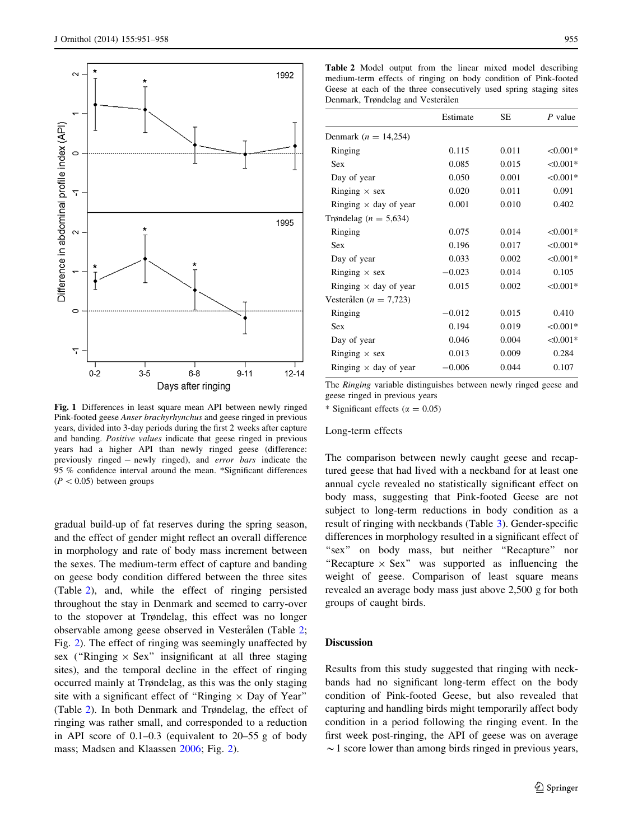<span id="page-4-0"></span>

Fig. 1 Differences in least square mean API between newly ringed Pink-footed geese Anser brachyrhynchus and geese ringed in previous years, divided into 3-day periods during the first 2 weeks after capture and banding. Positive values indicate that geese ringed in previous years had a higher API than newly ringed geese (difference: previously ringed - newly ringed), and error bars indicate the 95 % confidence interval around the mean. \*Significant differences  $(P<0.05)$  between groups

gradual build-up of fat reserves during the spring season, and the effect of gender might reflect an overall difference in morphology and rate of body mass increment between the sexes. The medium-term effect of capture and banding on geese body condition differed between the three sites (Table 2), and, while the effect of ringing persisted throughout the stay in Denmark and seemed to carry-over to the stopover at Trøndelag, this effect was no longer observable among geese observed in Vesterålen (Table 2; Fig. 2). The effect of ringing was seemingly unaffected by sex ("Ringing  $\times$  Sex" insignificant at all three staging sites), and the temporal decline in the effect of ringing occurred mainly at Trøndelag, as this was the only staging site with a significant effect of "Ringing  $\times$  Day of Year" (Table 2). In both Denmark and Trøndelag, the effect of ringing was rather small, and corresponded to a reduction in API score of 0.1–0.3 (equivalent to 20–55 g of body mass; Madsen and Klaassen [2006](#page-7-0); Fig. [2](#page-5-0)).

Table 2 Model output from the linear mixed model describing medium-term effects of ringing on body condition of Pink-footed Geese at each of the three consecutively used spring staging sites Denmark, Trøndelag and Vesterålen

|                              | Estimate | SE    | $P$ value  |
|------------------------------|----------|-------|------------|
| Denmark ( $n = 14,254$ )     |          |       |            |
| Ringing                      | 0.115    | 0.011 | $< 0.001*$ |
| Sex                          | 0.085    | 0.015 | $< 0.001*$ |
| Day of year                  | 0.050    | 0.001 | $< 0.001*$ |
| Ringing $\times$ sex         | 0.020    | 0.011 | 0.091      |
| Ringing $\times$ day of year | 0.001    | 0.010 | 0.402      |
| Trøndelag ( $n = 5,634$ )    |          |       |            |
| Ringing                      | 0.075    | 0.014 | $< 0.001*$ |
| Sex                          | 0.196    | 0.017 | $< 0.001*$ |
| Day of year                  | 0.033    | 0.002 | $< 0.001*$ |
| Ringing $\times$ sex         | $-0.023$ | 0.014 | 0.105      |
| Ringing $\times$ day of year | 0.015    | 0.002 | $< 0.001*$ |
| Vesterålen ( $n = 7,723$ )   |          |       |            |
| Ringing                      | $-0.012$ | 0.015 | 0.410      |
| Sex                          | 0.194    | 0.019 | $< 0.001*$ |
| Day of year                  | 0.046    | 0.004 | $< 0.001*$ |
| Ringing $\times$ sex         | 0.013    | 0.009 | 0.284      |
| Ringing $\times$ day of year | $-0.006$ | 0.044 | 0.107      |

The Ringing variable distinguishes between newly ringed geese and geese ringed in previous years

\* Significant effects ( $\alpha = 0.05$ )

#### Long-term effects

The comparison between newly caught geese and recaptured geese that had lived with a neckband for at least one annual cycle revealed no statistically significant effect on body mass, suggesting that Pink-footed Geese are not subject to long-term reductions in body condition as a result of ringing with neckbands (Table [3\)](#page-5-0). Gender-specific differences in morphology resulted in a significant effect of "sex" on body mass, but neither "Recapture" nor "Recapture  $\times$  Sex" was supported as influencing the weight of geese. Comparison of least square means revealed an average body mass just above 2,500 g for both groups of caught birds.

## **Discussion**

Results from this study suggested that ringing with neckbands had no significant long-term effect on the body condition of Pink-footed Geese, but also revealed that capturing and handling birds might temporarily affect body condition in a period following the ringing event. In the first week post-ringing, the API of geese was on average  $\sim$  1 score lower than among birds ringed in previous years,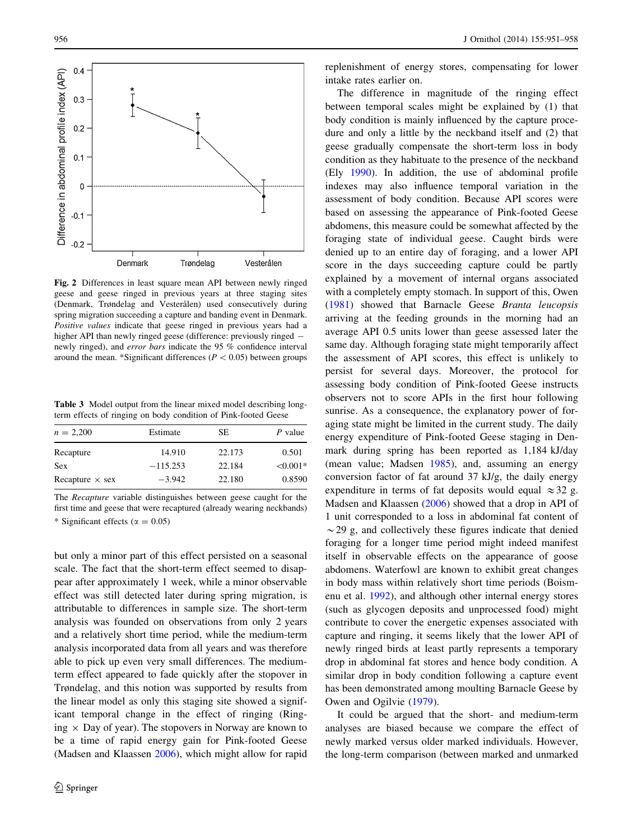<span id="page-5-0"></span>

Fig. 2 Differences in least square mean API between newly ringed geese and geese ringed in previous years at three staging sites (Denmark, Trøndelag and Vesterålen) used consecutively during spring migration succeeding a capture and banding event in Denmark. Positive values indicate that geese ringed in previous years had a higher API than newly ringed geese (difference: previously ringed  $$ newly ringed), and error bars indicate the 95 % confidence interval around the mean. \*Significant differences ( $P < 0.05$ ) between groups

Table 3 Model output from the linear mixed model describing longterm effects of ringing on body condition of Pink-footed Geese

| $n = 2,200$            | Estimate   | SE     | P value    |
|------------------------|------------|--------|------------|
| Recapture              | 14.910     | 22.173 | 0.501      |
| <b>Sex</b>             | $-115.253$ | 22.184 | $< 0.001*$ |
| Recapture $\times$ sex | $-3.942$   | 22.180 | 0.8590     |

The Recapture variable distinguishes between geese caught for the first time and geese that were recaptured (already wearing neckbands) \* Significant effects ( $\alpha = 0.05$ )

but only a minor part of this effect persisted on a seasonal scale. The fact that the short-term effect seemed to disappear after approximately 1 week, while a minor observable effect was still detected later during spring migration, is attributable to differences in sample size. The short-term analysis was founded on observations from only 2 years and a relatively short time period, while the medium-term analysis incorporated data from all years and was therefore able to pick up even very small differences. The mediumterm effect appeared to fade quickly after the stopover in Trøndelag, and this notion was supported by results from the linear model as only this staging site showed a significant temporal change in the effect of ringing (Ringing  $\times$  Day of year). The stopovers in Norway are known to be a time of rapid energy gain for Pink-footed Geese (Madsen and Klaassen [2006\)](#page-7-0), which might allow for rapid replenishment of energy stores, compensating for lower intake rates earlier on.

The difference in magnitude of the ringing effect between temporal scales might be explained by (1) that body condition is mainly influenced by the capture procedure and only a little by the neckband itself and (2) that geese gradually compensate the short-term loss in body condition as they habituate to the presence of the neckband (Ely [1990\)](#page-7-0). In addition, the use of abdominal profile indexes may also influence temporal variation in the assessment of body condition. Because API scores were based on assessing the appearance of Pink-footed Geese abdomens, this measure could be somewhat affected by the foraging state of individual geese. Caught birds were denied up to an entire day of foraging, and a lower API score in the days succeeding capture could be partly explained by a movement of internal organs associated with a completely empty stomach. In support of this, Owen [\(1981](#page-7-0)) showed that Barnacle Geese Branta leucopsis arriving at the feeding grounds in the morning had an average API 0.5 units lower than geese assessed later the same day. Although foraging state might temporarily affect the assessment of API scores, this effect is unlikely to persist for several days. Moreover, the protocol for assessing body condition of Pink-footed Geese instructs observers not to score APIs in the first hour following sunrise. As a consequence, the explanatory power of foraging state might be limited in the current study. The daily energy expenditure of Pink-footed Geese staging in Denmark during spring has been reported as 1,184 kJ/day (mean value; Madsen [1985](#page-7-0)), and, assuming an energy conversion factor of fat around 37 kJ/g, the daily energy expenditure in terms of fat deposits would equal  $\approx$  32 g. Madsen and Klaassen [\(2006](#page-7-0)) showed that a drop in API of 1 unit corresponded to a loss in abdominal fat content of  $\sim$  29 g, and collectively these figures indicate that denied foraging for a longer time period might indeed manifest itself in observable effects on the appearance of goose abdomens. Waterfowl are known to exhibit great changes in body mass within relatively short time periods (Boismenu et al. [1992](#page-6-0)), and although other internal energy stores (such as glycogen deposits and unprocessed food) might contribute to cover the energetic expenses associated with capture and ringing, it seems likely that the lower API of newly ringed birds at least partly represents a temporary drop in abdominal fat stores and hence body condition. A similar drop in body condition following a capture event has been demonstrated among moulting Barnacle Geese by Owen and Ogilvie ([1979\)](#page-7-0).

It could be argued that the short- and medium-term analyses are biased because we compare the effect of newly marked versus older marked individuals. However, the long-term comparison (between marked and unmarked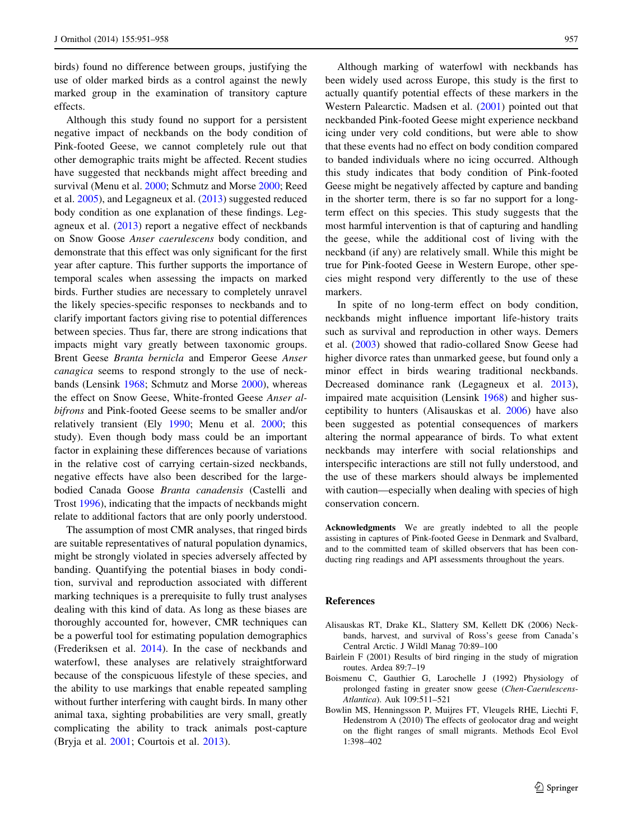<span id="page-6-0"></span>birds) found no difference between groups, justifying the use of older marked birds as a control against the newly marked group in the examination of transitory capture effects.

Although this study found no support for a persistent negative impact of neckbands on the body condition of Pink-footed Geese, we cannot completely rule out that other demographic traits might be affected. Recent studies have suggested that neckbands might affect breeding and survival (Menu et al. [2000](#page-7-0); Schmutz and Morse [2000](#page-7-0); Reed et al. [2005\)](#page-7-0), and Legagneux et al. ([2013\)](#page-7-0) suggested reduced body condition as one explanation of these findings. Legagneux et al.  $(2013)$  $(2013)$  report a negative effect of neckbands on Snow Goose Anser caerulescens body condition, and demonstrate that this effect was only significant for the first year after capture. This further supports the importance of temporal scales when assessing the impacts on marked birds. Further studies are necessary to completely unravel the likely species-specific responses to neckbands and to clarify important factors giving rise to potential differences between species. Thus far, there are strong indications that impacts might vary greatly between taxonomic groups. Brent Geese Branta bernicla and Emperor Geese Anser canagica seems to respond strongly to the use of neckbands (Lensink [1968](#page-7-0); Schmutz and Morse [2000](#page-7-0)), whereas the effect on Snow Geese, White-fronted Geese Anser albifrons and Pink-footed Geese seems to be smaller and/or relatively transient (Ely [1990;](#page-7-0) Menu et al. [2000;](#page-7-0) this study). Even though body mass could be an important factor in explaining these differences because of variations in the relative cost of carrying certain-sized neckbands, negative effects have also been described for the largebodied Canada Goose Branta canadensis (Castelli and Trost [1996](#page-7-0)), indicating that the impacts of neckbands might relate to additional factors that are only poorly understood.

The assumption of most CMR analyses, that ringed birds are suitable representatives of natural population dynamics, might be strongly violated in species adversely affected by banding. Quantifying the potential biases in body condition, survival and reproduction associated with different marking techniques is a prerequisite to fully trust analyses dealing with this kind of data. As long as these biases are thoroughly accounted for, however, CMR techniques can be a powerful tool for estimating population demographics (Frederiksen et al. [2014\)](#page-7-0). In the case of neckbands and waterfowl, these analyses are relatively straightforward because of the conspicuous lifestyle of these species, and the ability to use markings that enable repeated sampling without further interfering with caught birds. In many other animal taxa, sighting probabilities are very small, greatly complicating the ability to track animals post-capture (Bryja et al. [2001;](#page-7-0) Courtois et al. [2013](#page-7-0)).

Although marking of waterfowl with neckbands has been widely used across Europe, this study is the first to actually quantify potential effects of these markers in the Western Palearctic. Madsen et al. ([2001\)](#page-7-0) pointed out that neckbanded Pink-footed Geese might experience neckband icing under very cold conditions, but were able to show that these events had no effect on body condition compared to banded individuals where no icing occurred. Although this study indicates that body condition of Pink-footed Geese might be negatively affected by capture and banding in the shorter term, there is so far no support for a longterm effect on this species. This study suggests that the most harmful intervention is that of capturing and handling the geese, while the additional cost of living with the neckband (if any) are relatively small. While this might be true for Pink-footed Geese in Western Europe, other species might respond very differently to the use of these markers.

In spite of no long-term effect on body condition, neckbands might influence important life-history traits such as survival and reproduction in other ways. Demers et al. [\(2003](#page-7-0)) showed that radio-collared Snow Geese had higher divorce rates than unmarked geese, but found only a minor effect in birds wearing traditional neckbands. Decreased dominance rank (Legagneux et al. [2013](#page-7-0)), impaired mate acquisition (Lensink [1968\)](#page-7-0) and higher susceptibility to hunters (Alisauskas et al. 2006) have also been suggested as potential consequences of markers altering the normal appearance of birds. To what extent neckbands may interfere with social relationships and interspecific interactions are still not fully understood, and the use of these markers should always be implemented with caution—especially when dealing with species of high conservation concern.

Acknowledgments We are greatly indebted to all the people assisting in captures of Pink-footed Geese in Denmark and Svalbard, and to the committed team of skilled observers that has been conducting ring readings and API assessments throughout the years.

#### References

- Alisauskas RT, Drake KL, Slattery SM, Kellett DK (2006) Neckbands, harvest, and survival of Ross's geese from Canada's Central Arctic. J Wildl Manag 70:89–100
- Bairlein F (2001) Results of bird ringing in the study of migration routes. Ardea 89:7–19
- Boismenu C, Gauthier G, Larochelle J (1992) Physiology of prolonged fasting in greater snow geese (Chen-Caerulescens-Atlantica). Auk 109:511–521
- Bowlin MS, Henningsson P, Muijres FT, Vleugels RHE, Liechti F, Hedenstrom A (2010) The effects of geolocator drag and weight on the flight ranges of small migrants. Methods Ecol Evol 1:398–402